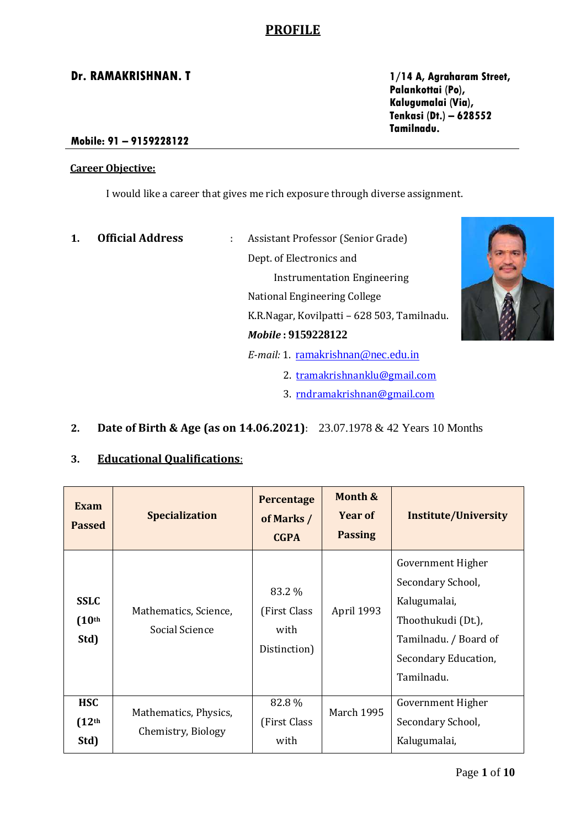# **PROFILE**

**Palankottai (Po), Kalugumalai (Via), Tenkasi (Dt.) – 628552 Tamilnadu.**

#### **Mobile: 91 – 9159228122**

#### **Career Objective:**

I would like a career that gives me rich exposure through diverse assignment.

- **1. Official Address** : Assistant Professor (Senior Grade) Dept. of Electronics and Instrumentation Engineering National Engineering College K.R.Nagar, Kovilpatti – 628 503, Tamilnadu. *Mobile* **: 9159228122** *E-mail:* 1. [ramakrishnan@nec.edu.in](mailto:ramakrishnan@nec.edu.in) 2. [tramakrishnanklu@gmail.com](mailto:tramakrishnanklu@gmail.com) 3. [rndramakrishnan@gmail.com](mailto:rndramakrishnan@gmail.com)
- **2. Date of Birth & Age (as on 14.06.2021)**: 23.07.1978 & 42 Years 10 Months

### **3. Educational Qualifications**:

| Exam<br><b>Passed</b>                      | <b>Specialization</b>                       | Percentage<br>of Marks /<br><b>CGPA</b>         | Month &<br><b>Year of</b><br><b>Passing</b> | <b>Institute/University</b>                                                                                                                 |
|--------------------------------------------|---------------------------------------------|-------------------------------------------------|---------------------------------------------|---------------------------------------------------------------------------------------------------------------------------------------------|
| <b>SSLC</b><br>(10 <sup>th</sup> )<br>Std) | Mathematics, Science,<br>Social Science     | 83.2 %<br>(First Class)<br>with<br>Distinction) | April 1993                                  | Government Higher<br>Secondary School,<br>Kalugumalai,<br>Thoothukudi (Dt.),<br>Tamilnadu. / Board of<br>Secondary Education,<br>Tamilnadu. |
| <b>HSC</b><br>(12 <sup>th</sup> )<br>Std)  | Mathematics, Physics,<br>Chemistry, Biology | 82.8%<br>(First Class)<br>with                  | <b>March 1995</b>                           | Government Higher<br>Secondary School,<br>Kalugumalai,                                                                                      |

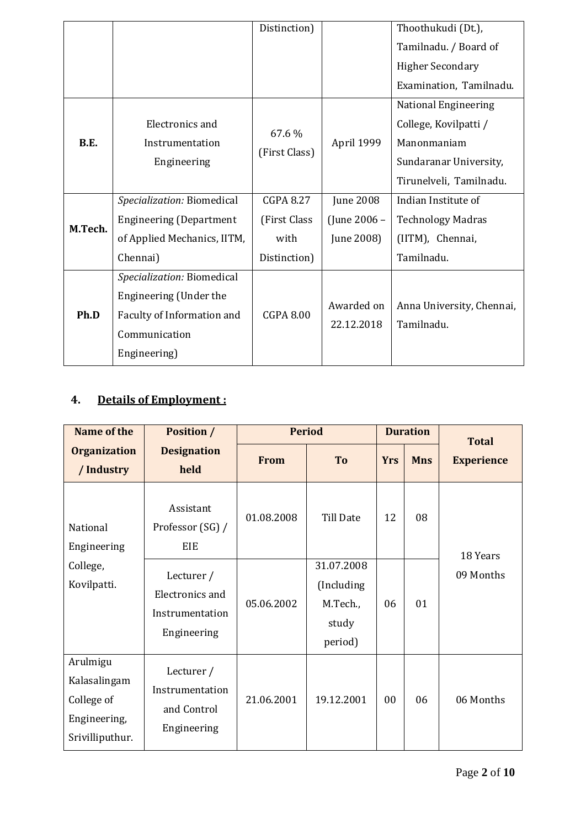|             |                                | Distinction)     |                  | Thoothukudi (Dt.),          |
|-------------|--------------------------------|------------------|------------------|-----------------------------|
|             |                                |                  |                  | Tamilnadu. / Board of       |
|             |                                |                  |                  | <b>Higher Secondary</b>     |
|             |                                |                  |                  | Examination, Tamilnadu.     |
|             |                                |                  |                  | <b>National Engineering</b> |
|             | Electronics and                | 67.6%            |                  | College, Kovilpatti /       |
| <b>B.E.</b> | Instrumentation                |                  | April 1999       | Manonmaniam                 |
|             | Engineering                    | (First Class)    |                  | Sundaranar University,      |
|             |                                |                  |                  | Tirunelveli, Tamilnadu.     |
|             | Specialization: Biomedical     | <b>CGPA 8.27</b> | <b>June 2008</b> | Indian Institute of         |
| M.Tech.     | <b>Engineering (Department</b> | (First Class     | (June 2006 –     | <b>Technology Madras</b>    |
|             | of Applied Mechanics, IITM,    | with             | June 2008)       | (IITM), Chennai,            |
|             | Chennai)                       | Distinction)     |                  | Tamilnadu.                  |
|             | Specialization: Biomedical     |                  |                  |                             |
|             | Engineering (Under the         |                  |                  |                             |
| Ph.D        | Faculty of Information and     | <b>CGPA 8.00</b> | Awarded on       | Anna University, Chennai,   |
|             | Communication                  |                  | 22.12.2018       | Tamilnadu.                  |
|             | Engineering)                   |                  |                  |                             |

# **4. Details of Employment :**

| Name of the                                                               | <b>Position /</b>                                                      | <b>Period</b> |                                                           |            | <b>Duration</b> | <b>Total</b>      |
|---------------------------------------------------------------------------|------------------------------------------------------------------------|---------------|-----------------------------------------------------------|------------|-----------------|-------------------|
| <b>Organization</b><br>/ Industry                                         | <b>Designation</b><br>held                                             |               | To                                                        | <b>Yrs</b> | <b>Mns</b>      | <b>Experience</b> |
| National<br>Engineering                                                   | Assistant<br>Professor (SG) /<br>EIE                                   | 01.08.2008    | Till Date                                                 | 12         | 08              | 18 Years          |
| College,<br>Kovilpatti.                                                   | Lecturer /<br><b>Electronics and</b><br>Instrumentation<br>Engineering | 05.06.2002    | 31.07.2008<br>(Including)<br>M.Tech.,<br>study<br>period) | 06         | 01              | 09 Months         |
| Arulmigu<br>Kalasalingam<br>College of<br>Engineering,<br>Srivilliputhur. | Lecturer /<br>Instrumentation<br>and Control<br>Engineering            | 21.06.2001    | 19.12.2001                                                | 00         | 06              | 06 Months         |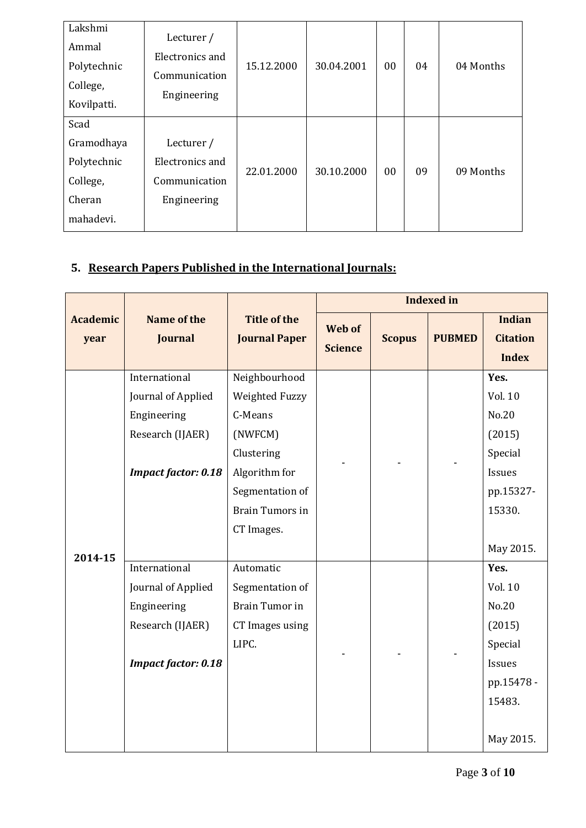| Lakshmi<br>Ammal<br>Polytechnic<br>College,<br>Kovilpatti. | Lecturer /<br>Electronics and<br>Communication<br>Engineering | 15.12.2000 | 30.04.2001 | 00 | 04 | 04 Months |
|------------------------------------------------------------|---------------------------------------------------------------|------------|------------|----|----|-----------|
| Scad                                                       |                                                               |            |            |    |    |           |
| Gramodhaya                                                 | Lecturer /                                                    |            |            |    |    |           |
| Polytechnic                                                | Electronics and                                               | 22.01.2000 | 30.10.2000 | 00 | 09 | 09 Months |
| College,                                                   | Communication                                                 |            |            |    |    |           |
| Cheran                                                     | Engineering                                                   |            |            |    |    |           |
| mahadevi.                                                  |                                                               |            |            |    |    |           |

# **5. Research Papers Published in the International Journals:**

|                         |                                                                                                      |                                                                                                                                                 |                          |               | <b>Indexed in</b> |                                                                                              |
|-------------------------|------------------------------------------------------------------------------------------------------|-------------------------------------------------------------------------------------------------------------------------------------------------|--------------------------|---------------|-------------------|----------------------------------------------------------------------------------------------|
| <b>Academic</b><br>year | Name of the<br><b>Journal</b>                                                                        | <b>Title of the</b><br><b>Journal Paper</b>                                                                                                     | Web of<br><b>Science</b> | <b>Scopus</b> | <b>PUBMED</b>     | <b>Indian</b><br><b>Citation</b><br><b>Index</b>                                             |
| 2014-15                 | International<br>Journal of Applied<br>Engineering<br>Research (IJAER)<br><b>Impact factor: 0.18</b> | Neighbourhood<br>Weighted Fuzzy<br>C-Means<br>(NWFCM)<br>Clustering<br>Algorithm for<br>Segmentation of<br><b>Brain Tumors in</b><br>CT Images. |                          |               |                   | Yes.<br>Vol. 10<br>No.20<br>(2015)<br>Special<br>Issues<br>pp.15327-<br>15330.<br>May 2015.  |
|                         | International<br>Journal of Applied<br>Engineering<br>Research (IJAER)<br><b>Impact factor: 0.18</b> | Automatic<br>Segmentation of<br><b>Brain Tumor in</b><br>CT Images using<br>LIPC.                                                               |                          |               |                   | Yes.<br>Vol. 10<br>No.20<br>(2015)<br>Special<br>Issues<br>pp.15478 -<br>15483.<br>May 2015. |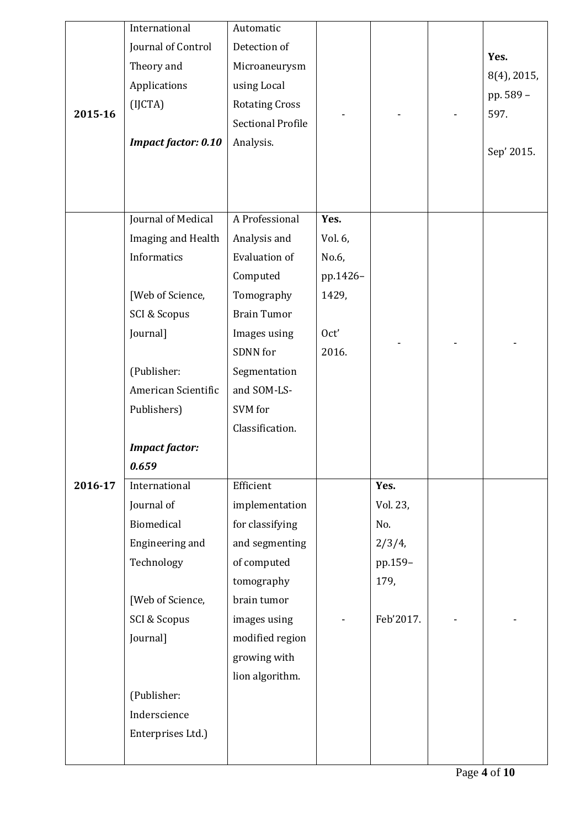|         | International              | Automatic                |          |           |             |
|---------|----------------------------|--------------------------|----------|-----------|-------------|
|         | Journal of Control         | Detection of             |          |           | Yes.        |
|         | Theory and                 | Microaneurysm            |          |           | 8(4), 2015, |
|         | Applications               | using Local              |          |           | pp. 589 -   |
| 2015-16 | (IJCTA)                    | <b>Rotating Cross</b>    |          |           | 597.        |
|         |                            | <b>Sectional Profile</b> |          |           |             |
|         | <b>Impact factor: 0.10</b> | Analysis.                |          |           | Sep' 2015.  |
|         |                            |                          |          |           |             |
|         |                            |                          |          |           |             |
|         |                            |                          |          |           |             |
|         | Journal of Medical         | A Professional           | Yes.     |           |             |
|         | Imaging and Health         | Analysis and             | Vol. 6,  |           |             |
|         | Informatics                | Evaluation of            | No.6,    |           |             |
|         |                            | Computed                 | pp.1426- |           |             |
|         | [Web of Science,           | Tomography               | 1429,    |           |             |
|         | SCI & Scopus               | <b>Brain Tumor</b>       |          |           |             |
|         | Journal]                   | Images using             | Oct'     |           |             |
|         |                            | SDNN for                 | 2016.    |           |             |
|         | (Publisher:                | Segmentation             |          |           |             |
|         | American Scientific        | and SOM-LS-              |          |           |             |
|         | Publishers)                | SVM for                  |          |           |             |
|         |                            | Classification.          |          |           |             |
|         | <b>Impact factor:</b>      |                          |          |           |             |
|         | 0.659                      |                          |          |           |             |
| 2016-17 | International              | Efficient                |          | Yes.      |             |
|         | Journal of                 | implementation           |          | Vol. 23,  |             |
|         | Biomedical                 | for classifying          |          | No.       |             |
|         | Engineering and            | and segmenting           |          | $2/3/4$ , |             |
|         | Technology                 | of computed              |          | pp.159-   |             |
|         |                            | tomography               |          | 179,      |             |
|         | [Web of Science,           | brain tumor              |          |           |             |
|         | SCI & Scopus               | images using             |          | Feb'2017. |             |
|         | Journal]                   | modified region          |          |           |             |
|         |                            | growing with             |          |           |             |
|         |                            | lion algorithm.          |          |           |             |
|         | (Publisher:                |                          |          |           |             |
|         | Inderscience               |                          |          |           |             |
|         | Enterprises Ltd.)          |                          |          |           |             |
|         |                            |                          |          |           |             |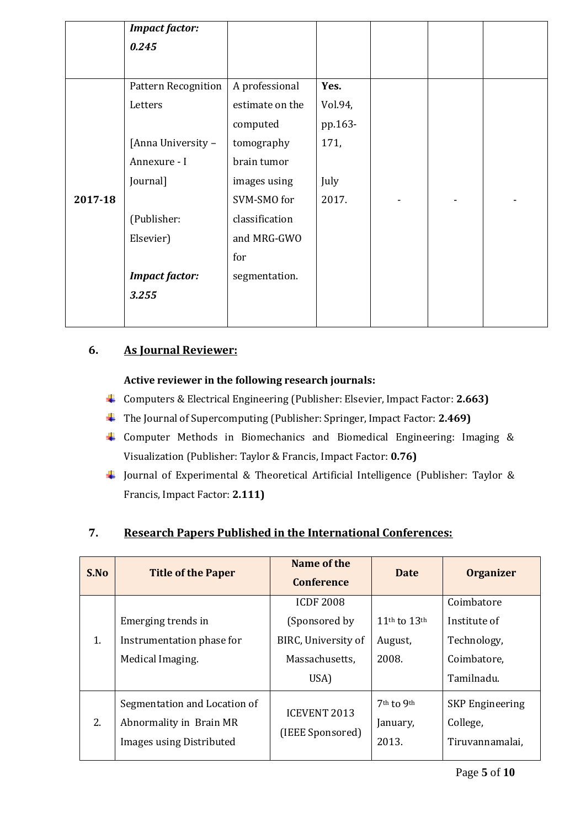|         | <b>Impact factor:</b>      |                 |         |  |  |
|---------|----------------------------|-----------------|---------|--|--|
|         | 0.245                      |                 |         |  |  |
|         |                            |                 |         |  |  |
|         | <b>Pattern Recognition</b> | A professional  | Yes.    |  |  |
|         | Letters                    | estimate on the | Vol.94, |  |  |
|         |                            | computed        | pp.163- |  |  |
|         | [Anna University -         | tomography      | 171,    |  |  |
|         | Annexure - I               | brain tumor     |         |  |  |
|         | Journal]                   | images using    | July    |  |  |
| 2017-18 |                            | SVM-SMO for     | 2017.   |  |  |
|         | (Publisher:                | classification  |         |  |  |
|         | Elsevier)                  | and MRG-GWO     |         |  |  |
|         |                            | for             |         |  |  |
|         | <b>Impact factor:</b>      | segmentation.   |         |  |  |
|         | 3.255                      |                 |         |  |  |
|         |                            |                 |         |  |  |

## **6. As Journal Reviewer:**

### **Active reviewer in the following research journals:**

- Computers & Electrical Engineering (Publisher: Elsevier, Impact Factor: **2.663)**
- The Journal of Supercomputing (Publisher: Springer, Impact Factor: **2.469)**
- Computer Methods in Biomechanics and Biomedical Engineering: Imaging & Visualization (Publisher: Taylor & Francis, Impact Factor: **0.76)**
- Journal of Experimental & Theoretical Artificial Intelligence (Publisher: Taylor & Francis, Impact Factor: **2.111)**

## **7. Research Papers Published in the International Conferences:**

| S.No | <b>Title of the Paper</b>    | Name of the<br><b>Conference</b> | <b>Date</b>                          | <b>Organizer</b>       |
|------|------------------------------|----------------------------------|--------------------------------------|------------------------|
|      |                              | <b>ICDF 2008</b>                 |                                      | Coimbatore             |
|      | Emerging trends in           | (Sponsored by                    | 11 <sup>th</sup> to 13 <sup>th</sup> | Institute of           |
| 1.   | Instrumentation phase for    | BIRC, University of              | August,                              | Technology,            |
|      | Medical Imaging.             | Massachusetts,                   | 2008.                                | Coimbatore,            |
|      |                              | USA)                             |                                      | Tamilnadu.             |
|      | Segmentation and Location of |                                  | $7th$ to 9 <sup>th</sup>             | <b>SKP</b> Engineering |
| 2.   | Abnormality in Brain MR      | <b>ICEVENT 2013</b>              | January,                             | College,               |
|      | Images using Distributed     | (IEEE Sponsored)                 | 2013.                                | Tiruvannamalai,        |
|      |                              |                                  |                                      |                        |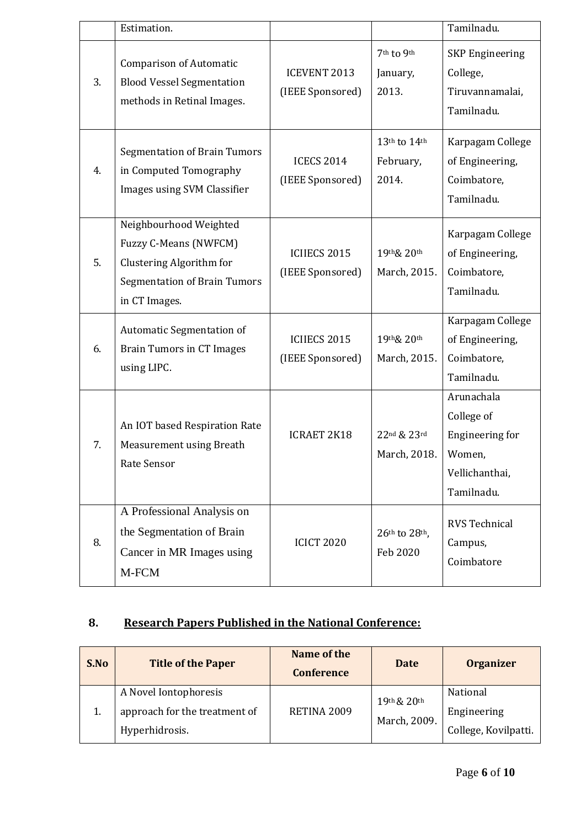|    | Estimation.                                                                                                                         |                                         |                                    | Tamilnadu.                                                                                   |
|----|-------------------------------------------------------------------------------------------------------------------------------------|-----------------------------------------|------------------------------------|----------------------------------------------------------------------------------------------|
| 3. | <b>Comparison of Automatic</b><br><b>Blood Vessel Segmentation</b><br>methods in Retinal Images.                                    | <b>ICEVENT 2013</b><br>(IEEE Sponsored) | 7th to 9th<br>January,<br>2013.    | <b>SKP</b> Engineering<br>College,<br>Tiruvannamalai,<br>Tamilnadu.                          |
| 4. | <b>Segmentation of Brain Tumors</b><br>in Computed Tomography<br>Images using SVM Classifier                                        | <b>ICECS 2014</b><br>(IEEE Sponsored)   | 13th to 14th<br>February,<br>2014. | Karpagam College<br>of Engineering,<br>Coimbatore,<br>Tamilnadu.                             |
| 5. | Neighbourhood Weighted<br>Fuzzy C-Means (NWFCM)<br>Clustering Algorithm for<br><b>Segmentation of Brain Tumors</b><br>in CT Images. | <b>ICIIECS 2015</b><br>(IEEE Sponsored) | 19th& 20th<br>March, 2015.         | Karpagam College<br>of Engineering,<br>Coimbatore,<br>Tamilnadu.                             |
| 6. | <b>Automatic Segmentation of</b><br><b>Brain Tumors in CT Images</b><br>using LIPC.                                                 | <b>ICIIECS 2015</b><br>(IEEE Sponsored) | 19th& 20th<br>March, 2015.         | Karpagam College<br>of Engineering,<br>Coimbatore,<br>Tamilnadu.                             |
| 7. | An IOT based Respiration Rate<br>Measurement using Breath<br>Rate Sensor                                                            | <b>ICRAET 2K18</b>                      | 22nd & 23rd<br>March, 2018.        | Arunachala<br>College of<br><b>Engineering for</b><br>Women,<br>Vellichanthai,<br>Tamilnadu. |
| 8. | A Professional Analysis on<br>the Segmentation of Brain<br>Cancer in MR Images using<br>M-FCM                                       | <b>ICICT 2020</b>                       | 26th to 28th,<br>Feb 2020          | <b>RVS Technical</b><br>Campus,<br>Coimbatore                                                |

# **8. Research Papers Published in the National Conference:**

| S.No | <b>Title of the Paper</b>     | Name of the<br><b>Conference</b> | Date                            | <b>Organizer</b>     |
|------|-------------------------------|----------------------------------|---------------------------------|----------------------|
|      | A Novel Iontophoresis         |                                  |                                 | National             |
|      | approach for the treatment of | RETINA 2009                      | $19th$ & $20th$<br>March, 2009. | Engineering          |
|      | Hyperhidrosis.                |                                  |                                 | College, Kovilpatti. |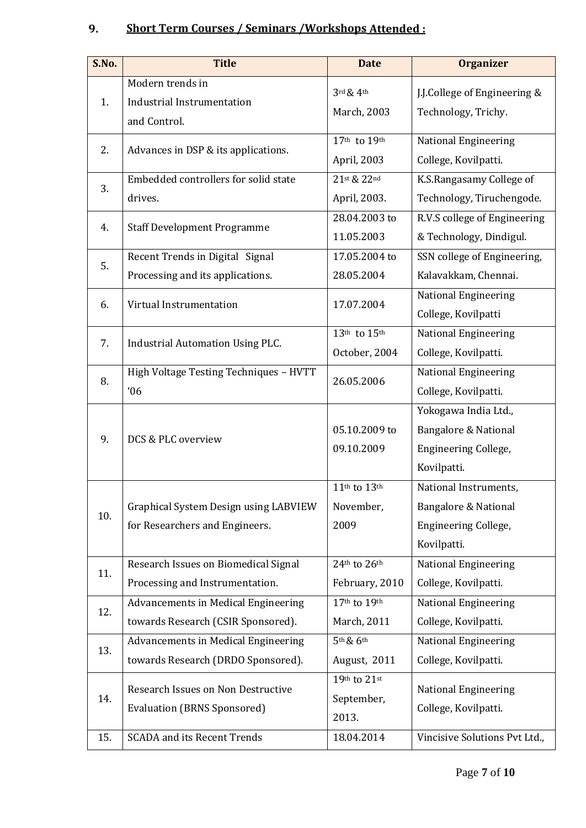# **9. Short Term Courses / Seminars /Workshops Attended :**

| S.No. | <b>Title</b>                                                              | <b>Date</b>                         | <b>Organizer</b>                                                                                |
|-------|---------------------------------------------------------------------------|-------------------------------------|-------------------------------------------------------------------------------------------------|
| 1.    | Modern trends in<br><b>Industrial Instrumentation</b><br>and Control.     | $3$ rd $\&$ 4th<br>March, 2003      | J.J.College of Engineering &<br>Technology, Trichy.                                             |
| 2.    | Advances in DSP & its applications.                                       | 17th to 19th<br>April, 2003         | <b>National Engineering</b><br>College, Kovilpatti.                                             |
| 3.    | Embedded controllers for solid state<br>drives.                           | 21st & 22nd<br>April, 2003.         | K.S.Rangasamy College of<br>Technology, Tiruchengode.                                           |
| 4.    | <b>Staff Development Programme</b>                                        | 28.04.2003 to<br>11.05.2003         | R.V.S college of Engineering<br>& Technology, Dindigul.                                         |
| 5.    | Recent Trends in Digital Signal<br>Processing and its applications.       | 17.05.2004 to<br>28.05.2004         | SSN college of Engineering,<br>Kalavakkam, Chennai.                                             |
| 6.    | Virtual Instrumentation                                                   | 17.07.2004                          | <b>National Engineering</b><br>College, Kovilpatti                                              |
| 7.    | <b>Industrial Automation Using PLC.</b>                                   | 13th to 15th<br>October, 2004       | <b>National Engineering</b><br>College, Kovilpatti.                                             |
| 8.    | High Voltage Testing Techniques - HVTT<br>06                              | 26.05.2006                          | <b>National Engineering</b><br>College, Kovilpatti.                                             |
| 9.    | DCS & PLC overview                                                        | 05.10.2009 to<br>09.10.2009         | Yokogawa India Ltd.,<br><b>Bangalore &amp; National</b><br>Engineering College,<br>Kovilpatti.  |
| 10.   | Graphical System Design using LABVIEW<br>for Researchers and Engineers.   | 11th to 13th<br>November,<br>2009   | National Instruments,<br><b>Bangalore &amp; National</b><br>Engineering College,<br>Kovilpatti. |
| 11.   | Research Issues on Biomedical Signal<br>Processing and Instrumentation.   | 24th to 26th<br>February, 2010      | <b>National Engineering</b><br>College, Kovilpatti.                                             |
| 12.   | Advancements in Medical Engineering<br>towards Research (CSIR Sponsored). | 17th to 19th<br>March, 2011         | <b>National Engineering</b><br>College, Kovilpatti.                                             |
| 13.   | Advancements in Medical Engineering<br>towards Research (DRDO Sponsored). | 5th & 6th<br>August, 2011           | National Engineering<br>College, Kovilpatti.                                                    |
| 14.   | Research Issues on Non Destructive<br><b>Evaluation (BRNS Sponsored)</b>  | 19th to 21st<br>September,<br>2013. | <b>National Engineering</b><br>College, Kovilpatti.                                             |
| 15.   | <b>SCADA</b> and its Recent Trends                                        | 18.04.2014                          | Vincisive Solutions Pvt Ltd.,                                                                   |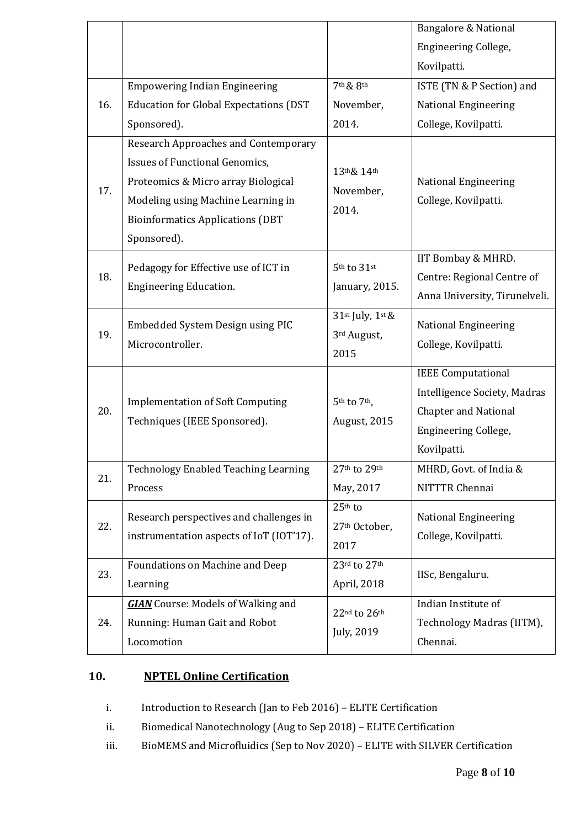|     |                                                                                                                                                                                                                             |                                                 | <b>Bangalore &amp; National</b>                                                                                                        |
|-----|-----------------------------------------------------------------------------------------------------------------------------------------------------------------------------------------------------------------------------|-------------------------------------------------|----------------------------------------------------------------------------------------------------------------------------------------|
|     |                                                                                                                                                                                                                             |                                                 | <b>Engineering College,</b>                                                                                                            |
|     |                                                                                                                                                                                                                             |                                                 | Kovilpatti.                                                                                                                            |
|     | <b>Empowering Indian Engineering</b>                                                                                                                                                                                        | 7th & 8th                                       | ISTE (TN & P Section) and                                                                                                              |
| 16. | <b>Education for Global Expectations (DST</b>                                                                                                                                                                               | November,                                       | <b>National Engineering</b>                                                                                                            |
|     | Sponsored).                                                                                                                                                                                                                 | 2014.                                           | College, Kovilpatti.                                                                                                                   |
| 17. | <b>Research Approaches and Contemporary</b><br><b>Issues of Functional Genomics,</b><br>Proteomics & Micro array Biological<br>Modeling using Machine Learning in<br><b>Bioinformatics Applications (DBT</b><br>Sponsored). | 13th& 14th<br>November,<br>2014.                | <b>National Engineering</b><br>College, Kovilpatti.                                                                                    |
| 18. | Pedagogy for Effective use of ICT in<br><b>Engineering Education.</b>                                                                                                                                                       | $5^{\rm th}$ to $31^{\rm st}$<br>January, 2015. | IIT Bombay & MHRD.<br>Centre: Regional Centre of<br>Anna University, Tirunelveli.                                                      |
| 19. | Embedded System Design using PIC<br>Microcontroller.                                                                                                                                                                        | 31st July, 1st &<br>3rd August,<br>2015         | <b>National Engineering</b><br>College, Kovilpatti.                                                                                    |
| 20. | <b>Implementation of Soft Computing</b><br>Techniques (IEEE Sponsored).                                                                                                                                                     | 5th to 7th,<br>August, 2015                     | <b>IEEE</b> Computational<br>Intelligence Society, Madras<br><b>Chapter and National</b><br><b>Engineering College,</b><br>Kovilpatti. |
| 21. | <b>Technology Enabled Teaching Learning</b>                                                                                                                                                                                 | 27th to 29th                                    | MHRD, Govt. of India &                                                                                                                 |
|     | Process                                                                                                                                                                                                                     | May, 2017                                       | NITTTR Chennai                                                                                                                         |
| 22. | Research perspectives and challenges in<br>instrumentation aspects of IoT (IOT'17).                                                                                                                                         | 25th to<br>27th October,<br>2017                | National Engineering<br>College, Kovilpatti.                                                                                           |
| 23. | Foundations on Machine and Deep<br>Learning                                                                                                                                                                                 | 23rd to 27th<br>April, 2018                     | IISc, Bengaluru.                                                                                                                       |
| 24. | <b>GIAN</b> Course: Models of Walking and<br>Running: Human Gait and Robot<br>Locomotion                                                                                                                                    | 22nd to 26th<br>July, 2019                      | Indian Institute of<br>Technology Madras (IITM),<br>Chennai.                                                                           |

# **10. NPTEL Online Certification**

i. Introduction to Research (Jan to Feb 2016) – ELITE Certification

ii. Biomedical Nanotechnology (Aug to Sep 2018) – ELITE Certification

iii. BioMEMS and Microfluidics (Sep to Nov 2020) – ELITE with SILVER Certification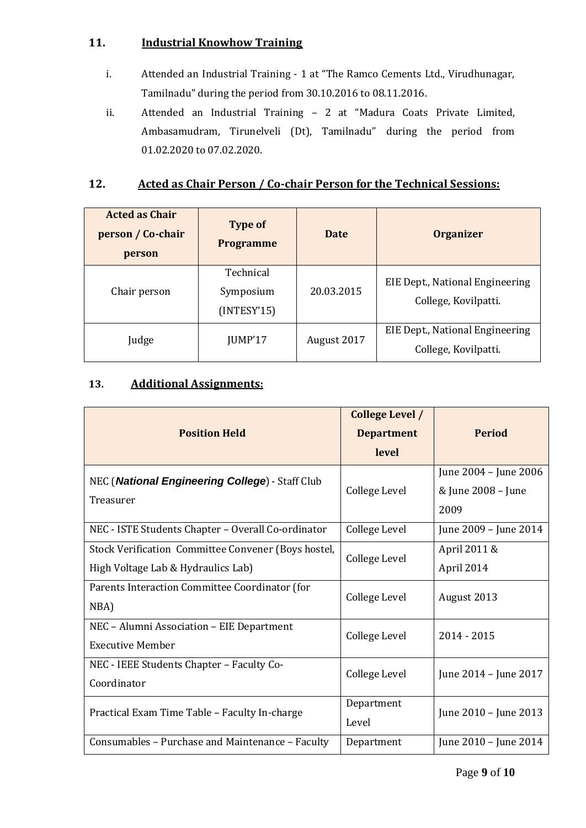### **11. Industrial Knowhow Training**

- i. Attended an Industrial Training 1 at "The Ramco Cements Ltd., Virudhunagar, Tamilnadu" during the period from 30.10.2016 to 08.11.2016.
- ii. Attended an Industrial Training 2 at "Madura Coats Private Limited, Ambasamudram, Tirunelveli (Dt), Tamilnadu" during the period from 01.02.2020 to 07.02.2020.

### **12. Acted as Chair Person / Co-chair Person for the Technical Sessions:**

| <b>Acted as Chair</b><br>person / Co-chair<br>person | <b>Type of</b><br><b>Programme</b>    | Date        | <b>Organizer</b>                                        |
|------------------------------------------------------|---------------------------------------|-------------|---------------------------------------------------------|
| Chair person                                         | Technical<br>Symposium<br>(INTERY'15) | 20.03.2015  | EIE Dept., National Engineering<br>College, Kovilpatti. |
| Judge                                                | JUMP'17                               | August 2017 | EIE Dept., National Engineering<br>College, Kovilpatti. |

## **13. Additional Assignments:**

|                                                     | <b>College Level /</b>              |                       |
|-----------------------------------------------------|-------------------------------------|-----------------------|
| <b>Position Held</b>                                | <b>Department</b>                   | <b>Period</b>         |
|                                                     | level                               |                       |
| NEC (National Engineering College) - Staff Club     | College Level                       | June 2004 - June 2006 |
| Treasurer                                           |                                     | & June 2008 - June    |
|                                                     |                                     | 2009                  |
| NEC - ISTE Students Chapter - Overall Co-ordinator  | College Level                       | June 2009 - June 2014 |
| Stock Verification Committee Convener (Boys hostel, | College Level                       | April 2011 &          |
| High Voltage Lab & Hydraulics Lab)                  |                                     | April 2014            |
| Parents Interaction Committee Coordinator (for      | College Level                       | August 2013           |
| NBA)                                                |                                     |                       |
| NEC - Alumni Association - EIE Department           | College Level                       | $2014 - 2015$         |
| <b>Executive Member</b>                             |                                     |                       |
| NEC - IEEE Students Chapter - Faculty Co-           | College Level                       | June 2014 - June 2017 |
| Coordinator                                         |                                     |                       |
| Practical Exam Time Table - Faculty In-charge       | Department<br>June 2010 - June 2013 |                       |
|                                                     | Level                               |                       |
| Consumables - Purchase and Maintenance - Faculty    | Department                          | June 2010 - June 2014 |